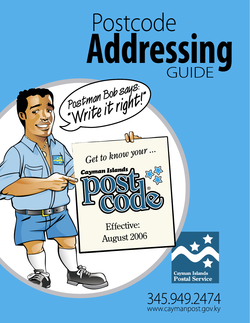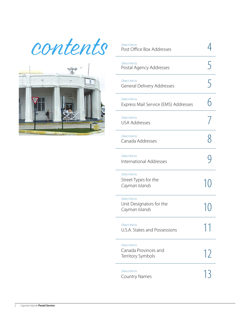contents



| Direct link to<br>Post Office Box Addresses                  |               |
|--------------------------------------------------------------|---------------|
| Direct link to<br>Postal Agency Addresses                    | 5             |
| Direct link to<br><b>General Delivery Addresses</b>          | 5             |
| Direct link to<br>Express Mail Service (EMS) Addresses       |               |
| Direct link to<br><b>USA Addresses</b>                       |               |
| Direct link to<br>Canada Addresses                           |               |
| Direct link to<br>International Addresses                    |               |
| Direct link to<br>Street Types for the<br>Cayman Islands     | 1()           |
| Direct link to<br>Unit Designators for the<br>Cayman Islands | $\frac{1}{2}$ |
| Direct link to<br>U.S.A. States and Possessions              | ┑<br>я        |
| Direct link to<br>Canada Provinces and<br>Territory Symbols  | 12            |
| Direct link to<br><b>Country Names</b>                       | 13            |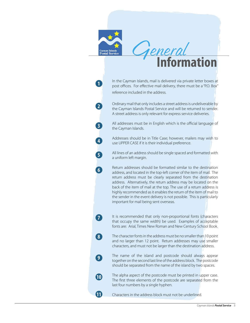

In the Cayman Islands, mail is delivered via private letter boxes at post offices. For effective mail delivery, there must be a "P.O. Box" reference included in the address.

**1**

**2**

**3**

**4**

**5**

**6**

**7**

**8**

**9**

**10**

**11** 

Ordinary mail that only includes a street address is undeliverable by the Cayman Islands Postal Service and will be returned to sender. A street address is only relevant for express service deliveries.

All addresses must be in English which is the official language of the Cayman Islands.

Addresses should be in Title Case; however, mailers may wish to use UPPER CASE if it is their individual preference.

All lines of an address should be single spaced and formatted with a uniform left margin.

Return addresses should be formatted similar to the destination address, and located in the top-left corner of the item of mail. The return address must be clearly separated from the destination address. Alternatively, the return address may be located on the back of the item of mail at the top. The use of a return address is highly recommended as it enables the return of the item of mail to the sender in the event delivery is not possible. This is particularly important for mail being sent overseas.

It is recommended that only non-proportional fonts (characters that occupy the same width) be used. Examples of acceptable fonts are: Arial, Times New Roman and New Century School Book.

The character fonts in the address must be no smaller than 10 point and no larger than 12 point. Return addresses may use smaller characters, and must not be larger than the destination address.

The name of the island and postcode should always appear together on the second last line of the address block. The postcode should be separated from the name of the island by two spaces.

The alpha aspect of the postcode must be printed in upper case. The first three elements of the postcode are separated from the last four numbers by a single hyphen.

Characters in the address block must not be underlined.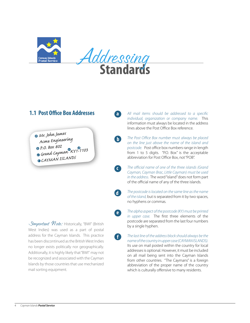<span id="page-3-0"></span>



 $\blacksquare$ 

 $\vert \hspace{.04cm} \vert \hspace{.04cm} \vert \hspace{.04cm} \vert \hspace{.04cm} \vert \hspace{.04cm}$ 

O

Œ

### **1.1 Post Office Box Addresses**



Mr. John James Acme Engineering Grand Cayman KYT O CAYMAN ISLANDS

*Smportant Note:* Historically, "BWI" (British West Indies) was used as a part of postal address for the Cayman Islands. This practice has been discontinued as the British West Indies no longer exists politically nor geographically. Additionally, it is highly likely that "BWI" may not be recognized and associated with the Cayman Islands by those countries that use mechanized mail sorting equipment.

All mail items should be addressed to a specific individual, organization or company name. This information must always be located in the address lines above the Post Office Box reference.

- The Post Office Box number must always be placed on the line just above the name of the island and postcode. Post office box numbers range in length from 1 to 5 digits. "P.O. Box" is the acceptable abbreviation for Post Office Box, not "POB".
- The official name of one of the three islands (Grand Cayman, Cayman Brac, Little Cayman) must be used in the address. The word "island" does not form part of the official name of any of the three islands.
- The postcode is located on the same line as the name d) of the island, but is separated from it by two spaces, no hyphens or commas.
- The alpha aspect of the postcode (KY) must be printed  $\bullet$ in upper case. The first three elements of the postcode are separated from the last four numbers by a single hyphen.
	- The last line of the address block should always be the name of the country in upper case (CAYMAN ISLANDS). Its use on mail posted within the country for local addresses is optional. However, it must be included on all mail being sent into the Cayman Islands from other countries. "The Caymans" is a foreign abbreviation of the proper name of the country which is culturally offensive to many residents.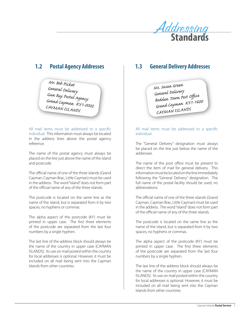

### <span id="page-4-0"></span> $1.2$ **Postal Agency Addresses**

Mr. Bob Picket rrn. oor zunei<br>General Delivery<br>Gun Bay Postal Agency<br>Grand Cayman KY1-0002 CAYMAN ISLANDS

All mail items must be addressed to a specific individual. This information must always be located in the address lines above the postal agency reference

The name of the postal agency must always be placed on the line just above the name of the island and postcode.

The official name of one of the three islands (Grand Cayman, Cayman Brac, Little Cayman) must be used in the address. The word "island" does not form part of the official name of any of the three islands.

The postcode is located on the same line as the name of the island, but is separated from it by two spaces, no hyphens or commas.

The alpha aspect of the postcode (KY) must be printed in upper case. The first three elements of the postcode are separated from the last four numbers by a single hyphen.

The last line of the address block should always be the name of the country in upper case (CAYMAN ISLANDS). Its use on mail posted within the country for local addresses is optional. However, it must be included on all mail being sent into the Cayman Islands from other countries.

#### **General Delivery Addresses**  $1.3$

Ms. Susan Green sun<br>General Delivery<br>Bodden Town Post Office<br>Grand Cayman KY1-1600 CAYMAN ISLANDS

### All mail items must be addressed to a specific individual

The "General Delivery" designation must always be placed on the line just below the name of the addressee

The name of the post office must be present to direct the item of mail for general delivery. This information must be located on the line immediately following the "General Delivery" designation. The full name of the postal facility should be used, no abbreviations

The official name of one of the three islands (Grand Cayman, Cayman Brac, Little Cayman) must be used in the address. The word "island" does not form part of the official name of any of the three islands.

The postcode is located on the same line as the name of the island, but is separated from it by two spaces, no hyphens or commas.

The alpha aspect of the postcode (KY) must be printed in upper case. The first three elements of the postcode are separated from the last four numbers by a single hyphen.

The last line of the address block should always be the name of the country in upper case (CAYMAN ISLANDS). Its use on mail posted within the country for local addresses is optional. However, it must be included on all mail being sent into the Cayman Islands from other countries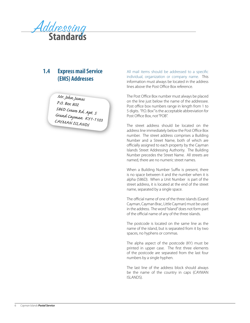<span id="page-5-0"></span>

### $1.4$ **Express mail Service (EMS) Addresses**

Mr. John James P.O. Box 802 --------------<br>586D Crewe Rd. Apt. 5<br>Grand Cayman KY1-1103 CAYMAN ISLANDS

All mail items should be addressed to a specific individual, organization or company name. This information must always be located in the address lines above the Post Office Box reference

The Post Office Box number must always be placed on the line just below the name of the addressee. Post office box numbers range in length from 1 to 5 digits. "P.O. Box" is the acceptable abbreviation for Post Office Box, not "POB".

The street address should be located on the address line immediately below the Post Office Box number. The street address comprises a Building Number and a Street Name, both of which are officially assigned to each property by the Cayman Islands Street Addressing Authority. The Building Number precedes the Street Name. All streets are named, there are no numeric street names.

When a Building Number Suffix is present, there is no space between it and the number when it is alpha (586D). When a Unit Number is part of the street address, it is located at the end of the street name, separated by a single space.

The official name of one of the three islands (Grand Cayman, Cayman Brac, Little Cayman) must be used in the address. The word "island" does not form part of the official name of any of the three islands.

The postcode is located on the same line as the name of the island, but is separated from it by two spaces, no hyphens or commas.

The alpha aspect of the postcode (KY) must be printed in upper case. The first three elements of the postcode are separated from the last four numbers by a single hyphen.

The last line of the address block should always be the name of the country in caps (CAYMAN ISLANDS).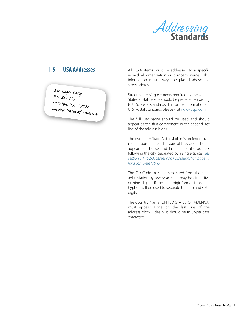

#### <span id="page-6-0"></span> $1.5$ **USA Addresses**

Mr. Roger Lang<br>P.O. Box 555<br>Houston. Tx. 77007<br>United States of America

All U.S.A. items must be addressed to a specific individual, organization or company name. This information must always be placed above the street address.

Street addressing elements required by the United States Postal Service should be prepared according to U.S. postal standards. For further information on U.S. Postal Standards please visit www.usps.com.

The full City name should be used and should appear as the first component in the second last line of the address block

The two-letter State Abbreviation is preferred over the full state name. The state abbreviation should appear on the second last line of the address following the city, separated by a single space. See section 3.1 "U.S.A. States and Possessions" on page 11 for a complete listing.

The Zip Code must be separated from the state abbreviation by two spaces. It may be either five or nine digits. If the nine-digit format is used, a hyphen will be used to separate the fifth and sixth digits.

The Country Name (UNITED STATES OF AMERICA) must appear alone on the last line of the address block. Ideally, it should be in upper case characters.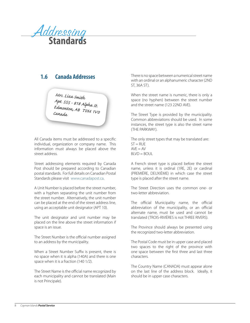<span id="page-7-0"></span>

Mrs. Liza Smith Apt. 555 - 818 Alpha <sub>St.</sub><br>Eduard Edmonton, AB TOM 1Vo Canada.

All Canada items must be addressed to a specific individual, organization or company name. This information must always be placed above the street address.

Street addressing elements required by Canada Post should be prepared according to Canadian postal standards. For full details on Canadian Postal Standards please visit [www.canadapost.ca.](www.canadapost.ca)

A Unit Number is placed before the street number, with a hyphen separating the unit number from the street number. Alternatively, the unit number can be placed at the end of the street address line, using an acceptable unit designator (APT 10).

The unit designator and unit number may be placed on the line above the street information if space is an issue.

The Street Number is the official number assigned to an address by the municipality.

When a Street Number Suffix is present, there is no space when it is alpha (140A) and there is one space when it is a fraction (140 1/2).

The Street Name is the official name recognized by each municipality and cannot be translated (Main is not Principale).

**1.6 Canada Addresses** There is no space between a numerical street name with an ordinal or an alphanumeric character (2ND ST, 36A ST).

> When the street name is numeric, there is only a space (no hyphen) between the street number and the street name (123 22ND AVE).

> The Street Type is provided by the municipality. Common abbreviations should be used. In some instances, the street type is also the street name (THE PARKWAY).

The only street types that may be translated are:  $ST = RUE$  $AVE = AV$  $BUVD = BQUL$ 

A French street type is placed before the street name, unless it is ordinal (1RE, 2E) or cardinal (PREMIÈRE, DEUXIÈME) in which case the street type is placed after the street name.

The Street Direction uses the common one- or two-letter abbreviation.

The official Municipality name, the official abbreviation of the municipality, or an official alternate name, must be used and cannot be translated (TROIS-RIVIÈRES is not THREE RIVERS).

The Province should always be presented using the recognized two-letter abbreviation.

The Postal Code must be in upper case and placed two spaces to the right of the province with one space between the first three and last three characters.

The Country Name (CANADA) must appear alone on the last line of the address block. Ideally, it should be in upper case characters.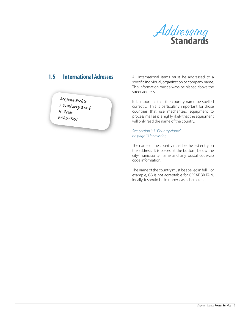

### <span id="page-8-0"></span>**International Adresses**  $1.5$

Ms Jane Fields<br>5 Dunberry Road<br>St. Peter<br>BARBADOs

All International items must be addressed to a specific individual, organization or company name. This information must always be placed above the street address.

It is important that the country name be spelled correctly. This is particularly important for those countries that use mechanized equipment to process mail as it is highly likely that the equipment will only read the name of the country.

See section 3.3 "Country Name" on page 13 for a listing.

The name of the country must be the last entry on the address. It is placed at the bottom, below the city/municipality name and any postal code/zip code information.

The name of the country must be spelled in full. For example, GB is not acceptable for GREAT BRITAIN. Ideally, it should be in upper-case characters.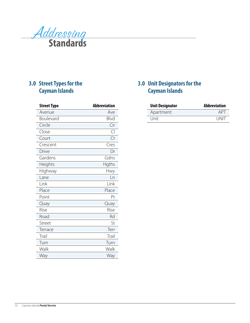<span id="page-9-0"></span>

## **3.0 Street Types for the Cayman Islands**

| <b>Street Type</b> | <b>Abbreviation</b> |
|--------------------|---------------------|
| Avenue             | Ave                 |
| Boulevard          | Blvd                |
| Circle             | Cir                 |
| Close              | $\overline{C}$      |
| Court              | Ct                  |
| Crescent           | Cres                |
| Drive              | Dr                  |
| Gardens            | Gdns                |
| Heights            | Hgths               |
| Highway            | Hwy                 |
| Lane               | Ln                  |
| Link               | Link                |
| Place              | Place               |
| Point              | Pt                  |
| Quay               | Quay                |
| Rise               | Rise                |
| Road               | Rd                  |
| Street             | St                  |
| Terrace            | Terr                |
| Trail              | Trail               |
| Turn               | Turn                |
| Walk               | Walk                |
| Way                | Way                 |

### **3.0 Unit Designators for the Cayman Islands**

| <b>Unit Designator</b> | <b>Abbreviation</b> |  |
|------------------------|---------------------|--|
| Apartment              | <b>APT</b>          |  |
| Unit                   | <u>LINIT</u>        |  |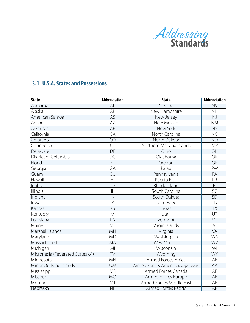

### <span id="page-10-0"></span>**3.1 U.S.A. States and Possessions**

| <b>State</b>                     | <b>Abbreviation</b>      | <b>State</b>                         | <b>Abbreviation</b>      |
|----------------------------------|--------------------------|--------------------------------------|--------------------------|
| Alabama                          | $\overline{AL}$          | Nevada                               | $\overline{\text{NV}}$   |
| Alaska                           | AK                       | New Hampshire                        | <b>NH</b>                |
| American Samoa                   | AS                       | New Jersey                           | NJ                       |
| Arizona                          | <b>AZ</b>                | New Mexico                           | <b>NM</b>                |
| Arkansas                         | AR                       | New York                             | <b>NY</b>                |
| California                       | CA                       | North Carolina                       | <b>NC</b>                |
| Colorado                         |                          | $\overline{CO}$<br>North Dakota      |                          |
| Connecticut                      | CT                       | Northern Mariana Islands             | <b>MP</b>                |
| Delaware                         | DE                       | Ohio                                 | OH                       |
| District of Columbia             | <b>DC</b>                | Oklahoma                             | OK                       |
| Florida                          | FL                       | Oregon                               | <b>OR</b>                |
| Georgia                          | GA                       | Palau                                | PW                       |
| Guam                             | GU                       | Pennsylvania                         | PA                       |
| Hawaii                           | H1                       | Puerto Rico                          | PR                       |
| Idaho                            | ID                       | Rhode Island                         | R <sub>l</sub>           |
| Illinois                         | IL                       | South Carolina                       | SC                       |
| Indiana                          | $\overline{\mathsf{IN}}$ | South Dakota                         | $\overline{SD}$          |
| lowa                             | IA                       | Tennessee                            | <b>TN</b>                |
| Kansas                           | KS                       | Texas                                | $\overline{\mathsf{TX}}$ |
| Kentucky                         | KY                       | Utah                                 | UT                       |
| Louisiana                        | LA                       | Vermont                              | $\overline{\vee}$        |
| Maine                            | <b>ME</b>                | Virgin Islands                       | $\vee$                   |
| Marshall Islands                 | MH                       | Virginia                             | VÄ                       |
| Maryland                         | <b>MD</b>                | Washington                           | <b>WA</b>                |
| Massachusetts                    | <b>MA</b>                | West Virginia                        | WV                       |
| Michigan                         | MI                       | Wisconsin                            | WI                       |
| Micronesia (Federated States of) | <b>FM</b>                | Wyoming                              | <b>WY</b>                |
| Minnesota                        | <b>MN</b>                | Armed Forces Africa                  | AE                       |
| Minor Outlying Islands           | $\overline{\text{UM}}$   | Armed Forces America (except Canada) | AA                       |
| Mississippi                      | <b>MS</b>                | Armed Forces Canada                  | AE                       |
| Missouri                         | <b>MO</b>                | <b>Armed Forces Europe</b>           | AE                       |
| Montana                          | MT                       | Armed Forces Middle East             | AE                       |
| Nebraska                         | <b>NE</b>                | <b>Armed Forces Pacific</b>          | AP                       |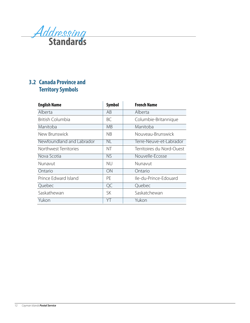<span id="page-11-0"></span>

## **3.2 Canada Province and Territory Symbols**

| <b>English Name</b>       | <b>Symbol</b> | <b>French Name</b>        |
|---------------------------|---------------|---------------------------|
| Alberta                   | AB            | Alberta                   |
| <b>British Columbia</b>   | ВC            | Columbie-Britannique      |
| Manitoba                  | <b>MB</b>     | Manitoba                  |
| New Brunswick             | NB.           | Nouveau-Brunswick         |
| Newfoundland and Labrador | NL            | Terre-Neuve-et-Labrador   |
| Northwest Territories     | NΤ            | Territoires du Nord-Ouest |
| Nova Scotia               | <b>NS</b>     | Nouvelle-Ecosse           |
| Nunavut                   | nu            | Nunavut                   |
| Ontario                   | ON            | Ontario                   |
| Prince Edward Island      | <b>PE</b>     | Ile-du-Prince-Edouard     |
| Quebec                    | QC            | Quebec                    |
| Saskathewan               | <b>SK</b>     | Saskatchewan              |
| Yukon                     | YΤ            | Yukon                     |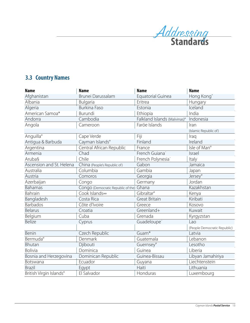

# <span id="page-12-0"></span>**3.3 Country Names**

| <b>Name</b>              | <b>Name</b>                              | <b>Name</b>                   | <b>Name</b>                  |
|--------------------------|------------------------------------------|-------------------------------|------------------------------|
| Afghanistan              | Brunei Darussalam                        | Equatorial Guinea             | Hong Kong <sup>^</sup>       |
| Albania                  | Bulgaria                                 | Eritrea                       | Hungary                      |
| Algeria                  | <b>Burkina Faso</b>                      | Estonia                       | Iceland                      |
| American Samoa*          | Burundi                                  | Ethiopia                      | India                        |
| Andorra                  | Cambodia                                 | Falkland Islands (Malvinas)°  | Indonesia                    |
| Angola                   | Cameroon                                 | Faröe Islands                 | Iran                         |
|                          |                                          |                               | (Islamic Republic of)        |
| Anguilla°                | Cape Verde                               | Fiji                          | Iraq                         |
| Antigua & Barbuda        | Cayman Islands°                          | Finland                       | Ireland                      |
| Argentina                | Central African Republic                 | France                        | Isle of Man°                 |
| Armenia                  | Chad                                     | French Guiana <sup>-</sup>    | Israel                       |
| Aruba§                   | Chile                                    | French Polynesia <sup>-</sup> | Italy                        |
| Ascension and St. Helena | China (People's Republic of)             | Gabon                         | Jamaica                      |
| Australia                | Columbia                                 | Gambia                        | Japan                        |
| Austria                  | Comoros                                  | Georgia                       | Jersey <sup>o</sup>          |
| Azerbaijan               | Congo                                    | Germany                       | Jordan                       |
| Bahamas                  | Congo (Democratic Republic of the) Ghana |                               | Kazakhstan                   |
| Bahrain                  | Cook Islands∞                            | Gibraltar <sup>o</sup>        | Kenya                        |
| Bangladesh               | Costa Rica                               | <b>Great Britain</b>          | Kiribati                     |
| Barbados                 | Côte d'Ivoire                            | Greece                        | Kosovo                       |
| <b>Belarus</b>           | Croatia                                  | Greenland+                    | Kuwait                       |
| Belgium                  | Cuba                                     | Grenada                       | Kyrgyzstan                   |
| Belize                   | Cyprus                                   | Guadeloupe <sup>®</sup>       | Lao                          |
|                          |                                          |                               | (People Democratic Republic) |
| Benin                    | Czech Republic                           | Guam <sup>*</sup>             | Latvia                       |
| Bermuda <sup>°</sup>     | Denmark                                  | Guatemala                     | Lebanon                      |
| Bhutan                   | Djibouti                                 | Guernsey <sup>o</sup>         | Lesotho                      |
| Bolivia                  | Dominica                                 | Guinea                        | Liberia                      |
| Bosnia and Herzegovina   | Dominican Republic                       | Guinea-Bissau                 | Libyan Jamahiriya            |
| Botswana                 | Ecuador                                  | Guyana                        | Liechtenstein                |
| <b>Brazil</b>            | Egypt                                    | Haiti                         | Lithuania                    |
| British Virgin Islands°  | El Salvador                              | Honduras                      | Luxembourg                   |